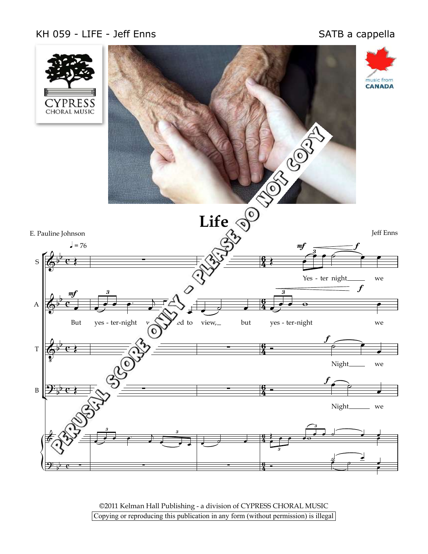## KH 059 - LIFE - Jeff Enns



©2011 Kelman Hall Publishing - a division of CYPRESS CHORAL MUSIC Copying or reproducing this publication in any form (without permission) is illegal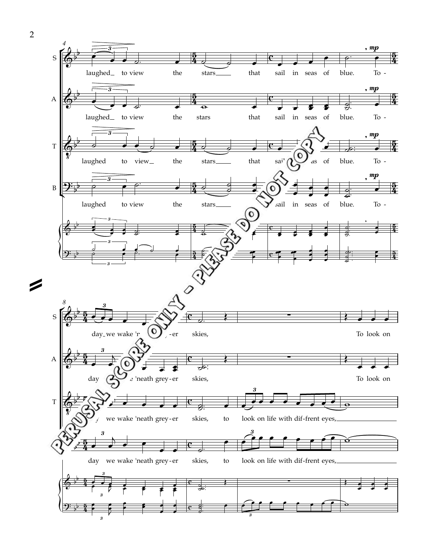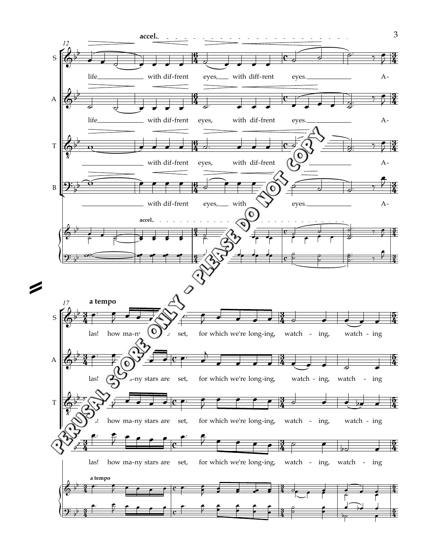